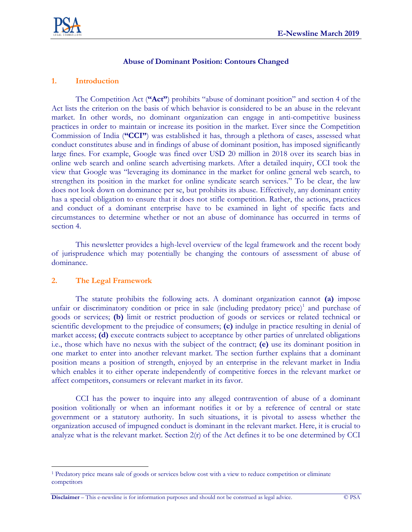

### **Abuse of Dominant Position: Contours Changed**

#### **1. Introduction**

The Competition Act (**"Act"**) prohibits "abuse of dominant position" and section 4 of the Act lists the criterion on the basis of which behavior is considered to be an abuse in the relevant market. In other words, no dominant organization can engage in anti-competitive business practices in order to maintain or increase its position in the market. Ever since the Competition Commission of India (**"CCI"**) was established it has, through a plethora of cases, assessed what conduct constitutes abuse and in findings of abuse of dominant position, has imposed significantly large fines. For example, Google was fined over USD 20 million in 2018 over its search bias in online web search and online search advertising markets. After a detailed inquiry, CCI took the view that Google was "leveraging its dominance in the market for online general web search, to strengthen its position in the market for online syndicate search services." To be clear, the law does not look down on dominance per se, but prohibits its abuse. Effectively, any dominant entity has a special obligation to ensure that it does not stifle competition. Rather, the actions, practices and conduct of a dominant enterprise have to be examined in light of specific facts and circumstances to determine whether or not an abuse of dominance has occurred in terms of section 4.

This newsletter provides a high-level overview of the legal framework and the recent body of jurisprudence which may potentially be changing the contours of assessment of abuse of dominance.

# **2. The Legal Framework**

 $\overline{a}$ 

The statute prohibits the following acts. A dominant organization cannot **(a)** impose unfair or discriminatory condition or price in sale (including predatory price) $1$  and purchase of goods or services; **(b)** limit or restrict production of goods or services or related technical or scientific development to the prejudice of consumers; **(c)** indulge in practice resulting in denial of market access; **(d)** execute contracts subject to acceptance by other parties of unrelated obligations i.e., those which have no nexus with the subject of the contract; **(e)** use its dominant position in one market to enter into another relevant market. The section further explains that a dominant position means a position of strength, enjoyed by an enterprise in the relevant market in India which enables it to either operate independently of competitive forces in the relevant market or affect competitors, consumers or relevant market in its favor.

CCI has the power to inquire into any alleged contravention of abuse of a dominant position volitionally or when an informant notifies it or by a reference of central or state government or a statutory authority. In such situations, it is pivotal to assess whether the organization accused of impugned conduct is dominant in the relevant market. Here, it is crucial to analyze what is the relevant market. Section  $2(r)$  of the Act defines it to be one determined by CCI

**Disclaimer** – This e-newsline is for information purposes and should not be construed as legal advice. © PSA

<sup>1</sup> Predatory price means sale of goods or services below cost with a view to reduce competition or eliminate competitors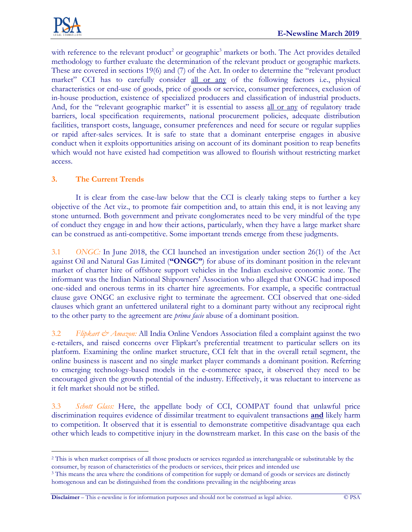

with reference to the relevant product<sup>2</sup> or geographic<sup>3</sup> markets or both. The Act provides detailed methodology to further evaluate the determination of the relevant product or geographic markets. These are covered in sections 19(6) and (7) of the Act. In order to determine the "relevant product market" CCI has to carefully consider all or any of the following factors i.e., physical characteristics or end-use of goods, price of goods or service, consumer preferences, exclusion of in-house production, existence of specialized producers and classification of industrial products. And, for the "relevant geographic market" it is essential to assess all or any of regulatory trade barriers, local specification requirements, national procurement policies, adequate distribution facilities, transport costs, language, consumer preferences and need for secure or regular supplies or rapid after-sales services. It is safe to state that a dominant enterprise engages in abusive conduct when it exploits opportunities arising on account of its dominant position to reap benefits which would not have existed had competition was allowed to flourish without restricting market access.

# **3. The Current Trends**

It is clear from the case-law below that the CCI is clearly taking steps to further a key objective of the Act viz., to promote fair competition and, to attain this end, it is not leaving any stone unturned. Both government and private conglomerates need to be very mindful of the type of conduct they engage in and how their actions, particularly, when they have a large market share can be construed as anti-competitive. Some important trends emerge from these judgments.

3.1 *ONGC:* In June 2018, the CCI launched an investigation under section 26(1) of the Act against Oil and Natural Gas Limited (**"ONGC"**) for abuse of its dominant position in the relevant market of charter hire of offshore support vehicles in the Indian exclusive economic zone. The informant was the Indian National Shipowners' Association who alleged that ONGC had imposed one-sided and onerous terms in its charter hire agreements. For example, a specific contractual clause gave ONGC an exclusive right to terminate the agreement. CCI observed that one-sided clauses which grant an unfettered unilateral right to a dominant party without any reciprocal right to the other party to the agreement are *prima facie* abuse of a dominant position.

3.2 *Flipkart & Amazon:* All India Online Vendors Association filed a complaint against the two e-retailers, and raised concerns over Flipkart's preferential treatment to particular sellers on its platform. Examining the online market structure, CCI felt that in the overall retail segment, the online business is nascent and no single market player commands a dominant position. Referring to emerging technology-based models in the e-commerce space, it observed they need to be encouraged given the growth potential of the industry. Effectively, it was reluctant to intervene as it felt market should not be stifled.

3.3 *Schott Glass:* Here, the appellate body of CCI, COMPAT found that unlawful price discrimination requires evidence of dissimilar treatment to equivalent transactions **and** likely harm to competition. It observed that it is essential to demonstrate competitive disadvantage qua each other which leads to competitive injury in the downstream market. In this case on the basis of the

**Disclaimer** – This e-newsline is for information purposes and should not be construed as legal advice. © PSA

 $\overline{a}$ <sup>2</sup> This is when market comprises of all those products or services regarded as interchangeable or substitutable by the consumer, by reason of characteristics of the products or services, their prices and intended use

<sup>&</sup>lt;sup>3</sup> This means the area where the conditions of competition for supply or demand of goods or services are distinctly homogenous and can be distinguished from the conditions prevailing in the neighboring areas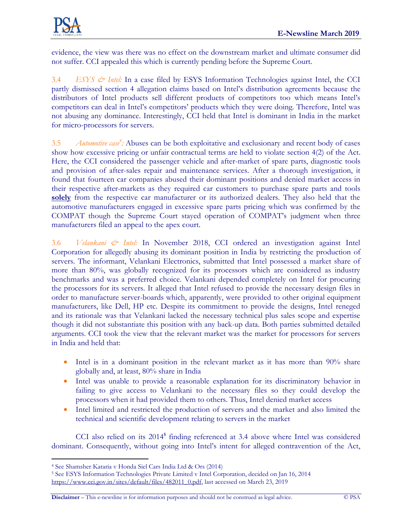

evidence, the view was there was no effect on the downstream market and ultimate consumer did not suffer. CCI appealed this which is currently pending before the Supreme Court.

3.4 *ESYS & Intel:* In a case filed by ESYS Information Technologies against Intel, the CCI partly dismissed section 4 allegation claims based on Intel's distribution agreements because the distributors of Intel products sell different products of competitors too which means Intel's competitors can deal in Intel's competitors' products which they were doing. Therefore, Intel was not abusing any dominance. Interestingly, CCI held that Intel is dominant in India in the market for micro-processors for servers.

3.5 *Automotive case<sup>4</sup> :* Abuses can be both exploitative and exclusionary and recent body of cases show how excessive pricing or unfair contractual terms are held to violate section 4(2) of the Act. Here, the CCI considered the passenger vehicle and after-market of spare parts, diagnostic tools and provision of after-sales repair and maintenance services. After a thorough investigation, it found that fourteen car companies abused their dominant positions and denied market access in their respective after-markets as they required car customers to purchase spare parts and tools solely from the respective car manufacturer or its authorized dealers. They also held that the automotive manufacturers engaged in excessive spare parts pricing which was confirmed by the COMPAT though the Supreme Court stayed operation of COMPAT's judgment when three manufacturers filed an appeal to the apex court.

3.6 *Velankani & Intel:* In November 2018, CCI ordered an investigation against Intel Corporation for allegedly abusing its dominant position in India by restricting the production of servers. The informant, Velankani Electronics, submitted that Intel possessed a market share of more than 80%, was globally recognized for its processors which are considered as industry benchmarks and was a preferred choice. Velankani depended completely on Intel for procuring the processors for its servers. It alleged that Intel refused to provide the necessary design files in order to manufacture server-boards which, apparently, were provided to other original equipment manufacturers, like Dell, HP etc. Despite its commitment to provide the designs, Intel reneged and its rationale was that Velankani lacked the necessary technical plus sales scope and expertise though it did not substantiate this position with any back-up data. Both parties submitted detailed arguments. CCI took the view that the relevant market was the market for processors for servers in India and held that:

- Intel is in a dominant position in the relevant market as it has more than 90% share globally and, at least, 80% share in India
- Intel was unable to provide a reasonable explanation for its discriminatory behavior in failing to give access to Velankani to the necessary files so they could develop the processors when it had provided them to others. Thus, Intel denied market access
- Intel limited and restricted the production of servers and the market and also limited the technical and scientific development relating to servers in the market

CCI also relied on its 2014 **5** finding referenced at 3.4 above where Intel was considered dominant. Consequently, without going into Intel's intent for alleged contravention of the Act,

 $\overline{a}$ 

**Disclaimer** – This e-newsline is for information purposes and should not be construed as legal advice. © PSA

<sup>4</sup> See Shamsher Kataria v Honda Siel Cars India Ltd & Ors (2014)

<sup>5</sup> See ESYS Information Technologies Private Limited v Intel Corporation, decided on Jan 16, 2014 [https://www.cci.gov.in/sites/default/files/482011\\_0.pdf,](https://www.cci.gov.in/sites/default/files/482011_0.pdf) last accessed on March 23, 2019